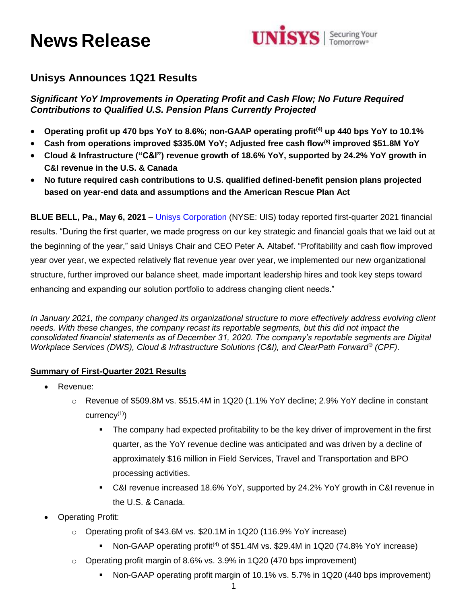# **News Release**



# **Unisys Announces 1Q21 Results**

*Significant YoY Improvements in Operating Profit and Cash Flow; No Future Required Contributions to Qualified U.S. Pension Plans Currently Projected*

- **Operating profit up 470 bps YoY to 8.6%; non-GAAP operating profit(4) up 440 bps YoY to 10.1%**
- **Cash from operations improved \$335.0M YoY; Adjusted free cash flow(8) improved \$51.8M YoY**
- **Cloud & Infrastructure ("C&I") revenue growth of 18.6% YoY, supported by 24.2% YoY growth in C&I revenue in the U.S. & Canada**
- **No future required cash contributions to U.S. qualified defined-benefit pension plans projected based on year-end data and assumptions and the American Rescue Plan Act**

**BLUE BELL, Pa., May 6, 2021** – [Unisys Corporation](http://www.unisys.com/) (NYSE: UIS) today reported first-quarter 2021 financial results. "During the first quarter, we made progress on our key strategic and financial goals that we laid out at the beginning of the year," said Unisys Chair and CEO Peter A. Altabef. "Profitability and cash flow improved year over year, we expected relatively flat revenue year over year, we implemented our new organizational structure, further improved our balance sheet, made important leadership hires and took key steps toward enhancing and expanding our solution portfolio to address changing client needs."

*In January 2021, the company changed its organizational structure to more effectively address evolving client needs. With these changes, the company recast its reportable segments, but this did not impact the consolidated financial statements as of December 31, 2020. The company's reportable segments are Digital Workplace Services (DWS), Cloud & Infrastructure Solutions (C&I), and ClearPath Forward® (CPF)*.

# **Summary of First-Quarter 2021 Results**

- Revenue:
	- $\circ$  Revenue of \$509.8M vs. \$515.4M in 1Q20 (1.1% YoY decline; 2.9% YoY decline in constant currency(1))
		- **The company had expected profitability to be the key driver of improvement in the first** quarter, as the YoY revenue decline was anticipated and was driven by a decline of approximately \$16 million in Field Services, Travel and Transportation and BPO processing activities.
		- C&I revenue increased 18.6% YoY, supported by 24.2% YoY growth in C&I revenue in the U.S. & Canada.
- Operating Profit:
	- o Operating profit of \$43.6M vs. \$20.1M in 1Q20 (116.9% YoY increase)
		- Non-GAAP operating profit<sup>(4)</sup> of \$51.4M vs. \$29.4M in 1Q20 (74.8% YoY increase)
	- o Operating profit margin of 8.6% vs. 3.9% in 1Q20 (470 bps improvement)
		- Non-GAAP operating profit margin of 10.1% vs. 5.7% in 1Q20 (440 bps improvement)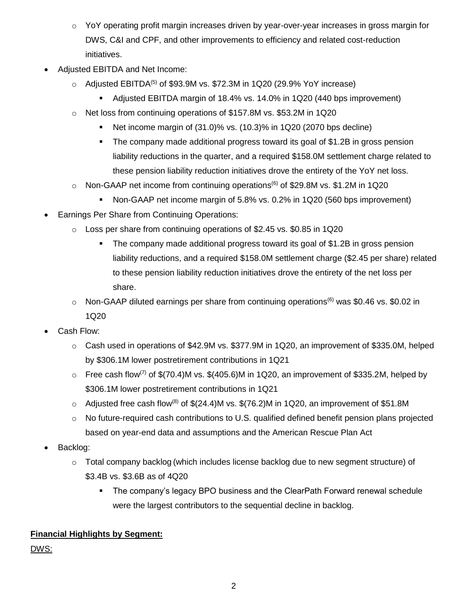- $\circ$  YoY operating profit margin increases driven by year-over-year increases in gross margin for DWS, C&I and CPF, and other improvements to efficiency and related cost-reduction initiatives.
- Adjusted EBITDA and Net Income:
	- $\circ$  Adjusted EBITDA<sup>(5)</sup> of \$93.9M vs. \$72.3M in 1Q20 (29.9% YoY increase)
		- Adjusted EBITDA margin of 18.4% vs. 14.0% in 1Q20 (440 bps improvement)
	- o Net loss from continuing operations of \$157.8M vs. \$53.2M in 1Q20
		- Net income margin of (31.0)% vs. (10.3)% in 1Q20 (2070 bps decline)
		- The company made additional progress toward its goal of \$1.2B in gross pension liability reductions in the quarter, and a required \$158.0M settlement charge related to these pension liability reduction initiatives drove the entirety of the YoY net loss.
	- $\circ$  Non-GAAP net income from continuing operations<sup>(6)</sup> of \$29.8M vs. \$1.2M in 1Q20
		- Non-GAAP net income margin of 5.8% vs. 0.2% in 1Q20 (560 bps improvement)
- Earnings Per Share from Continuing Operations:
	- $\circ$  Loss per share from continuing operations of \$2.45 vs. \$0.85 in 1Q20
		- The company made additional progress toward its goal of \$1.2B in gross pension liability reductions, and a required \$158.0M settlement charge (\$2.45 per share) related to these pension liability reduction initiatives drove the entirety of the net loss per share.
	- $\circ$  Non-GAAP diluted earnings per share from continuing operations<sup>(6)</sup> was \$0.46 vs. \$0.02 in 1Q20
- Cash Flow:
	- $\circ$  Cash used in operations of \$42.9M vs. \$377.9M in 1Q20, an improvement of \$335.0M, helped by \$306.1M lower postretirement contributions in 1Q21
	- $\circ$  Free cash flow<sup>(7)</sup> of \$(70.4)M vs. \$(405.6)M in 1Q20, an improvement of \$335.2M, helped by \$306.1M lower postretirement contributions in 1Q21
	- $\circ$  Adjusted free cash flow<sup>(8)</sup> of \$(24.4)M vs. \$(76.2)M in 1Q20, an improvement of \$51.8M
	- $\circ$  No future-required cash contributions to U.S. qualified defined benefit pension plans projected based on year-end data and assumptions and the American Rescue Plan Act
- Backlog:
	- $\circ$  Total company backlog (which includes license backlog due to new segment structure) of \$3.4B vs. \$3.6B as of 4Q20
		- The company's legacy BPO business and the ClearPath Forward renewal schedule were the largest contributors to the sequential decline in backlog.

# **Financial Highlights by Segment:**

DWS: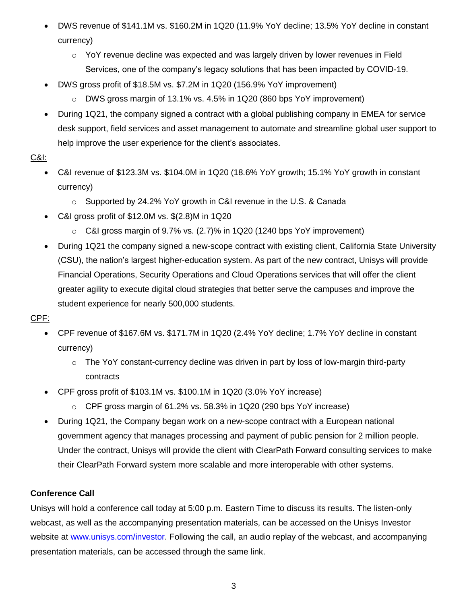- DWS revenue of \$141.1M vs. \$160.2M in 1Q20 (11.9% YoY decline; 13.5% YoY decline in constant currency)
	- o YoY revenue decline was expected and was largely driven by lower revenues in Field Services, one of the company's legacy solutions that has been impacted by COVID-19.
- DWS gross profit of \$18.5M vs. \$7.2M in 1Q20 (156.9% YoY improvement)
	- $\circ$  DWS gross margin of 13.1% vs. 4.5% in 1Q20 (860 bps YoY improvement)
- During 1Q21, the company signed a contract with a global publishing company in EMEA for service desk support, field services and asset management to automate and streamline global user support to help improve the user experience for the client's associates.

# C&I:

- C&I revenue of \$123.3M vs. \$104.0M in 1Q20 (18.6% YoY growth; 15.1% YoY growth in constant currency)
	- o Supported by 24.2% YoY growth in C&I revenue in the U.S. & Canada
- C&I gross profit of \$12.0M vs. \$(2.8)M in 1Q20
	- $\circ$  C&I gross margin of 9.7% vs. (2.7)% in 1Q20 (1240 bps YoY improvement)
- During 1Q21 the company signed a new-scope contract with existing client, California State University (CSU), the nation's largest higher-education system. As part of the new contract, Unisys will provide Financial Operations, Security Operations and Cloud Operations services that will offer the client greater agility to execute digital cloud strategies that better serve the campuses and improve the student experience for nearly 500,000 students.

# CPF:

- CPF revenue of \$167.6M vs. \$171.7M in 1Q20 (2.4% YoY decline; 1.7% YoY decline in constant currency)
	- $\circ$  The YoY constant-currency decline was driven in part by loss of low-margin third-party contracts
- CPF gross profit of \$103.1M vs. \$100.1M in 1Q20 (3.0% YoY increase)
	- $\circ$  CPF gross margin of 61.2% vs. 58.3% in 1Q20 (290 bps YoY increase)
- During 1Q21, the Company began work on a new-scope contract with a European national government agency that manages processing and payment of public pension for 2 million people. Under the contract, Unisys will provide the client with ClearPath Forward consulting services to make their ClearPath Forward system more scalable and more interoperable with other systems.

# **Conference Call**

Unisys will hold a conference call today at 5:00 p.m. Eastern Time to discuss its results. The listen-only webcast, as well as the accompanying presentation materials, can be accessed on the Unisys Investor website at [www.unisys.com/investor.](http://www.unisys.com/investor) Following the call, an audio replay of the webcast, and accompanying presentation materials, can be accessed through the same link.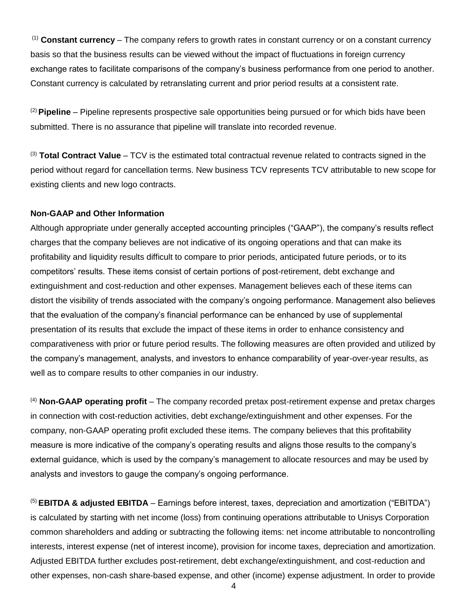(1) **Constant currency** – The company refers to growth rates in constant currency or on a constant currency basis so that the business results can be viewed without the impact of fluctuations in foreign currency exchange rates to facilitate comparisons of the company's business performance from one period to another. Constant currency is calculated by retranslating current and prior period results at a consistent rate.

(2) **Pipeline** – Pipeline represents prospective sale opportunities being pursued or for which bids have been submitted. There is no assurance that pipeline will translate into recorded revenue.

(3) **Total Contract Value** – TCV is the estimated total contractual revenue related to contracts signed in the period without regard for cancellation terms. New business TCV represents TCV attributable to new scope for existing clients and new logo contracts.

#### **Non-GAAP and Other Information**

Although appropriate under generally accepted accounting principles ("GAAP"), the company's results reflect charges that the company believes are not indicative of its ongoing operations and that can make its profitability and liquidity results difficult to compare to prior periods, anticipated future periods, or to its competitors' results. These items consist of certain portions of post-retirement, debt exchange and extinguishment and cost-reduction and other expenses. Management believes each of these items can distort the visibility of trends associated with the company's ongoing performance. Management also believes that the evaluation of the company's financial performance can be enhanced by use of supplemental presentation of its results that exclude the impact of these items in order to enhance consistency and comparativeness with prior or future period results. The following measures are often provided and utilized by the company's management, analysts, and investors to enhance comparability of year-over-year results, as well as to compare results to other companies in our industry.

(4) **Non-GAAP operating profit** – The company recorded pretax post-retirement expense and pretax charges in connection with cost-reduction activities, debt exchange/extinguishment and other expenses. For the company, non-GAAP operating profit excluded these items. The company believes that this profitability measure is more indicative of the company's operating results and aligns those results to the company's external guidance, which is used by the company's management to allocate resources and may be used by analysts and investors to gauge the company's ongoing performance.

(5) **EBITDA & adjusted EBITDA** – Earnings before interest, taxes, depreciation and amortization ("EBITDA") is calculated by starting with net income (loss) from continuing operations attributable to Unisys Corporation common shareholders and adding or subtracting the following items: net income attributable to noncontrolling interests, interest expense (net of interest income), provision for income taxes, depreciation and amortization. Adjusted EBITDA further excludes post-retirement, debt exchange/extinguishment, and cost-reduction and other expenses, non-cash share-based expense, and other (income) expense adjustment. In order to provide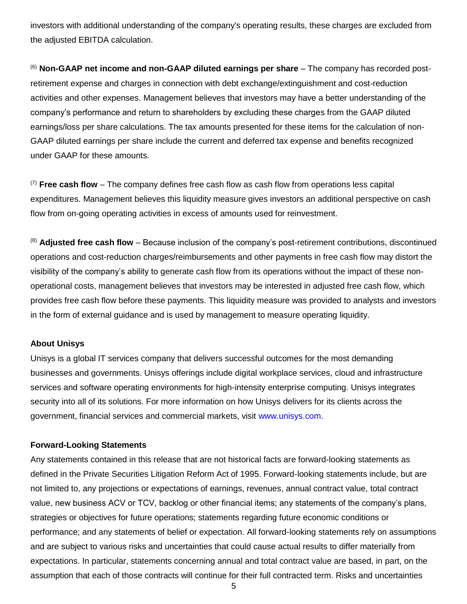investors with additional understanding of the company's operating results, these charges are excluded from the adjusted EBITDA calculation.

(6) **Non-GAAP net income and non-GAAP diluted earnings per share** – The company has recorded postretirement expense and charges in connection with debt exchange/extinguishment and cost-reduction activities and other expenses. Management believes that investors may have a better understanding of the company's performance and return to shareholders by excluding these charges from the GAAP diluted earnings/loss per share calculations. The tax amounts presented for these items for the calculation of non-GAAP diluted earnings per share include the current and deferred tax expense and benefits recognized under GAAP for these amounts.

(7) **Free cash flow** – The company defines free cash flow as cash flow from operations less capital expenditures. Management believes this liquidity measure gives investors an additional perspective on cash flow from on-going operating activities in excess of amounts used for reinvestment.

(8) **Adjusted free cash flow** – Because inclusion of the company's post-retirement contributions, discontinued operations and cost-reduction charges/reimbursements and other payments in free cash flow may distort the visibility of the company's ability to generate cash flow from its operations without the impact of these nonoperational costs, management believes that investors may be interested in adjusted free cash flow, which provides free cash flow before these payments. This liquidity measure was provided to analysts and investors in the form of external guidance and is used by management to measure operating liquidity.

#### **About Unisys**

Unisys is a global IT services company that delivers successful outcomes for the most demanding businesses and governments. Unisys offerings include digital workplace services, cloud and infrastructure services and software operating environments for high-intensity enterprise computing. Unisys integrates security into all of its solutions. For more information on how Unisys delivers for its clients across the government, financial services and commercial markets, visit [www.unisys.com.](http://www.unisys.com/)

#### **Forward-Looking Statements**

Any statements contained in this release that are not historical facts are forward-looking statements as defined in the Private Securities Litigation Reform Act of 1995. Forward-looking statements include, but are not limited to, any projections or expectations of earnings, revenues, annual contract value, total contract value, new business ACV or TCV, backlog or other financial items; any statements of the company's plans, strategies or objectives for future operations; statements regarding future economic conditions or performance; and any statements of belief or expectation. All forward-looking statements rely on assumptions and are subject to various risks and uncertainties that could cause actual results to differ materially from expectations. In particular, statements concerning annual and total contract value are based, in part, on the assumption that each of those contracts will continue for their full contracted term. Risks and uncertainties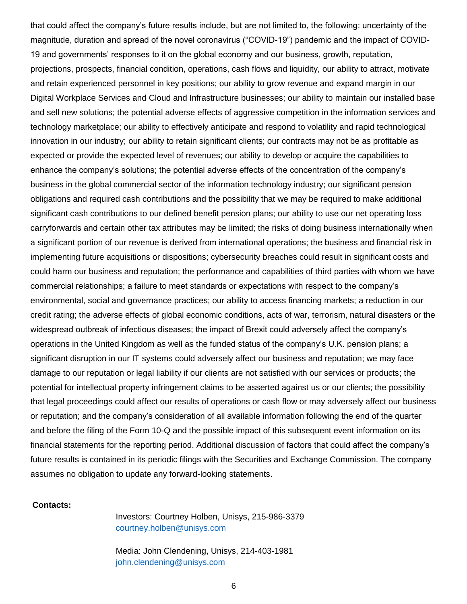that could affect the company's future results include, but are not limited to, the following: uncertainty of the magnitude, duration and spread of the novel coronavirus ("COVID-19") pandemic and the impact of COVID-19 and governments' responses to it on the global economy and our business, growth, reputation, projections, prospects, financial condition, operations, cash flows and liquidity, our ability to attract, motivate and retain experienced personnel in key positions; our ability to grow revenue and expand margin in our Digital Workplace Services and Cloud and Infrastructure businesses; our ability to maintain our installed base and sell new solutions; the potential adverse effects of aggressive competition in the information services and technology marketplace; our ability to effectively anticipate and respond to volatility and rapid technological innovation in our industry; our ability to retain significant clients; our contracts may not be as profitable as expected or provide the expected level of revenues; our ability to develop or acquire the capabilities to enhance the company's solutions; the potential adverse effects of the concentration of the company's business in the global commercial sector of the information technology industry; our significant pension obligations and required cash contributions and the possibility that we may be required to make additional significant cash contributions to our defined benefit pension plans; our ability to use our net operating loss carryforwards and certain other tax attributes may be limited; the risks of doing business internationally when a significant portion of our revenue is derived from international operations; the business and financial risk in implementing future acquisitions or dispositions; cybersecurity breaches could result in significant costs and could harm our business and reputation; the performance and capabilities of third parties with whom we have commercial relationships; a failure to meet standards or expectations with respect to the company's environmental, social and governance practices; our ability to access financing markets; a reduction in our credit rating; the adverse effects of global economic conditions, acts of war, terrorism, natural disasters or the widespread outbreak of infectious diseases; the impact of Brexit could adversely affect the company's operations in the United Kingdom as well as the funded status of the company's U.K. pension plans; a significant disruption in our IT systems could adversely affect our business and reputation; we may face damage to our reputation or legal liability if our clients are not satisfied with our services or products; the potential for intellectual property infringement claims to be asserted against us or our clients; the possibility that legal proceedings could affect our results of operations or cash flow or may adversely affect our business or reputation; and the company's consideration of all available information following the end of the quarter and before the filing of the Form 10-Q and the possible impact of this subsequent event information on its financial statements for the reporting period. Additional discussion of factors that could affect the company's future results is contained in its periodic filings with the Securities and Exchange Commission. The company assumes no obligation to update any forward-looking statements.

#### **Contacts:**

Investors: Courtney Holben, Unisys, 215-986-3379 [courtney.holben@unisys.com](mailto:courtney.holben@unisys.com)

Media: John Clendening, Unisys, 214-403-1981 [john.clendening@unisys.com](mailto:john.clendening@unisys.com)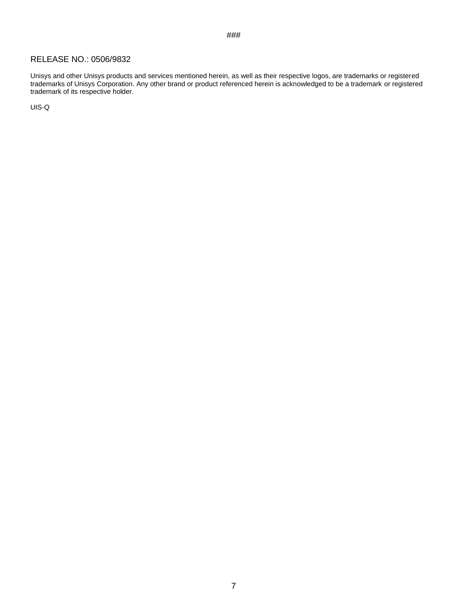#### RELEASE NO.: 0506/9832

Unisys and other Unisys products and services mentioned herein, as well as their respective logos, are trademarks or registered trademarks of Unisys Corporation. Any other brand or product referenced herein is acknowledged to be a trademark or registered trademark of its respective holder.

###

UIS-Q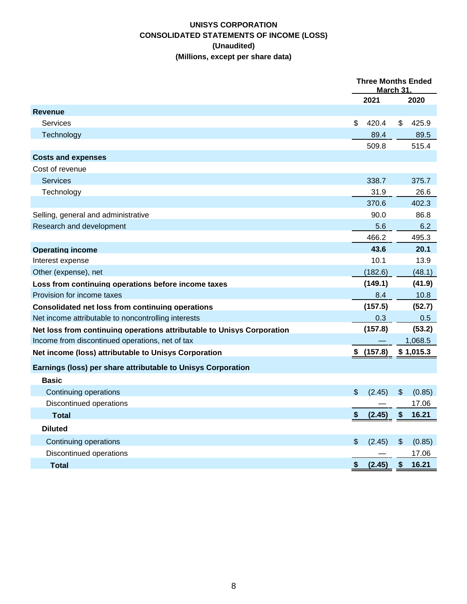# **UNISYS CORPORATION CONSOLIDATED STATEMENTS OF INCOME (LOSS) (Unaudited) (Millions, except per share data)**

|                                                                        | <b>Three Months Ended</b><br><u>March 31.</u> |         |    |           |  |
|------------------------------------------------------------------------|-----------------------------------------------|---------|----|-----------|--|
|                                                                        |                                               | 2021    |    | 2020      |  |
| <b>Revenue</b>                                                         |                                               |         |    |           |  |
| Services                                                               | \$                                            | 420.4   | \$ | 425.9     |  |
| Technology                                                             |                                               | 89.4    |    | 89.5      |  |
|                                                                        |                                               | 509.8   |    | 515.4     |  |
| <b>Costs and expenses</b>                                              |                                               |         |    |           |  |
| Cost of revenue                                                        |                                               |         |    |           |  |
| <b>Services</b>                                                        |                                               | 338.7   |    | 375.7     |  |
| Technology                                                             |                                               | 31.9    |    | 26.6      |  |
|                                                                        |                                               | 370.6   |    | 402.3     |  |
| Selling, general and administrative                                    |                                               | 90.0    |    | 86.8      |  |
| Research and development                                               |                                               | 5.6     |    | 6.2       |  |
|                                                                        |                                               | 466.2   |    | 495.3     |  |
| <b>Operating income</b>                                                |                                               | 43.6    |    | 20.1      |  |
| Interest expense                                                       |                                               | 10.1    |    | 13.9      |  |
| Other (expense), net                                                   |                                               | (182.6) |    | (48.1)    |  |
| Loss from continuing operations before income taxes                    |                                               | (149.1) |    | (41.9)    |  |
| Provision for income taxes                                             |                                               | 8.4     |    | 10.8      |  |
| Consolidated net loss from continuing operations                       |                                               | (157.5) |    | (52.7)    |  |
| Net income attributable to noncontrolling interests                    |                                               | 0.3     |    | 0.5       |  |
| Net loss from continuing operations attributable to Unisys Corporation |                                               | (157.8) |    | (53.2)    |  |
| Income from discontinued operations, net of tax                        |                                               |         |    | 1,068.5   |  |
| Net income (loss) attributable to Unisys Corporation                   | S.                                            | (157.8) |    | \$1,015.3 |  |
| Earnings (loss) per share attributable to Unisys Corporation           |                                               |         |    |           |  |
| <b>Basic</b>                                                           |                                               |         |    |           |  |
| Continuing operations                                                  | \$                                            | (2.45)  | \$ | (0.85)    |  |
| Discontinued operations                                                |                                               |         |    | 17.06     |  |
| <b>Total</b>                                                           | \$                                            | (2.45)  | \$ | 16.21     |  |
| <b>Diluted</b>                                                         |                                               |         |    |           |  |
| Continuing operations                                                  | \$                                            | (2.45)  | \$ | (0.85)    |  |
| Discontinued operations                                                |                                               |         |    | 17.06     |  |
| <b>Total</b>                                                           | \$                                            | (2.45)  | \$ | 16.21     |  |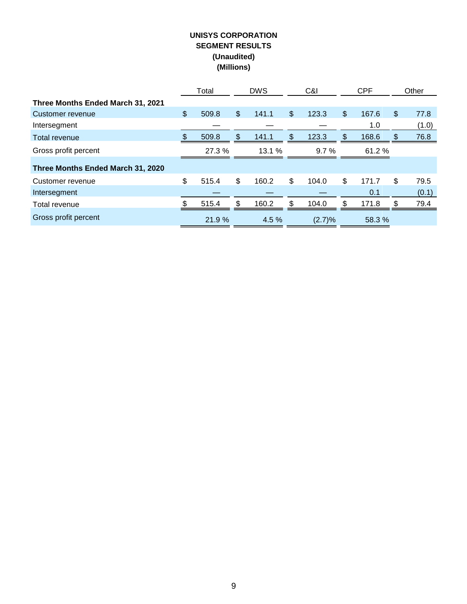## **UNISYS CORPORATION SEGMENT RESULTS (Unaudited) (Millions)**

|                                   |               | Total  |               | <b>DWS</b> | C&I         | <b>CPF</b> |        |     | Other |
|-----------------------------------|---------------|--------|---------------|------------|-------------|------------|--------|-----|-------|
| Three Months Ended March 31, 2021 |               |        |               |            |             |            |        |     |       |
| Customer revenue                  | $\frac{1}{2}$ | 509.8  | \$            | 141.1      | \$<br>123.3 | \$         | 167.6  | \$. | 77.8  |
| Intersegment                      |               |        |               |            |             |            | 1.0    |     | (1.0) |
| Total revenue                     | \$.           | 509.8  | $\frac{1}{2}$ | 141.1      | \$<br>123.3 | \$.        | 168.6  | \$. | 76.8  |
| Gross profit percent              |               | 27.3 % |               | 13.1%      | 9.7%        |            | 61.2%  |     |       |
| Three Months Ended March 31, 2020 |               |        |               |            |             |            |        |     |       |
| Customer revenue                  | \$            | 515.4  | \$            | 160.2      | \$<br>104.0 | \$         | 171.7  | \$  | 79.5  |
| Intersegment                      |               |        |               |            |             |            | 0.1    |     | (0.1) |
| Total revenue                     |               | 515.4  | \$            | 160.2      | \$<br>104.0 | \$         | 171.8  |     | 79.4  |
| Gross profit percent              |               | 21.9 % |               | 4.5 %      | (2.7)%      |            | 58.3 % |     |       |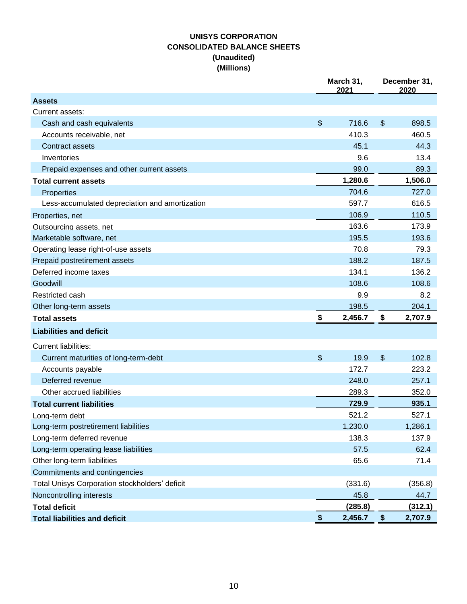# **UNISYS CORPORATION CONSOLIDATED BALANCE SHEETS (Unaudited) (Millions)**

|                                                | March 31,<br>2021 | December 31,<br>2020 |         |  |
|------------------------------------------------|-------------------|----------------------|---------|--|
| <b>Assets</b>                                  |                   |                      |         |  |
| Current assets:                                |                   |                      |         |  |
| Cash and cash equivalents                      | \$<br>716.6       | $\$\$                | 898.5   |  |
| Accounts receivable, net                       | 410.3             |                      | 460.5   |  |
| <b>Contract assets</b>                         | 45.1              |                      | 44.3    |  |
| Inventories                                    | 9.6               |                      | 13.4    |  |
| Prepaid expenses and other current assets      | 99.0              |                      | 89.3    |  |
| <b>Total current assets</b>                    | 1,280.6           |                      | 1,506.0 |  |
| <b>Properties</b>                              | 704.6             |                      | 727.0   |  |
| Less-accumulated depreciation and amortization | 597.7             |                      | 616.5   |  |
| Properties, net                                | 106.9             |                      | 110.5   |  |
| Outsourcing assets, net                        | 163.6             |                      | 173.9   |  |
| Marketable software, net                       | 195.5             |                      | 193.6   |  |
| Operating lease right-of-use assets            | 70.8              |                      | 79.3    |  |
| Prepaid postretirement assets                  | 188.2             |                      | 187.5   |  |
| Deferred income taxes                          | 134.1             |                      | 136.2   |  |
| Goodwill                                       | 108.6             |                      | 108.6   |  |
| Restricted cash                                | 9.9               |                      | 8.2     |  |
| Other long-term assets                         | 198.5             |                      | 204.1   |  |
| <b>Total assets</b>                            | \$<br>2,456.7     | \$                   | 2,707.9 |  |
| <b>Liabilities and deficit</b>                 |                   |                      |         |  |
| <b>Current liabilities:</b>                    |                   |                      |         |  |
| Current maturities of long-term-debt           | \$<br>19.9        | $\mathfrak{S}$       | 102.8   |  |
| Accounts payable                               | 172.7             |                      | 223.2   |  |
| Deferred revenue                               | 248.0             |                      | 257.1   |  |
| Other accrued liabilities                      | 289.3             |                      | 352.0   |  |
| <b>Total current liabilities</b>               | 729.9             |                      | 935.1   |  |
| Lona-term debt                                 | 521.2             |                      | 527.1   |  |
| Long-term postretirement liabilities           | 1,230.0           |                      | 1,286.1 |  |
| Long-term deferred revenue                     | 138.3             |                      | 137.9   |  |
| Long-term operating lease liabilities          | 57.5              |                      | 62.4    |  |
| Other long-term liabilities                    | 65.6              |                      | 71.4    |  |
| Commitments and contingencies                  |                   |                      |         |  |
| Total Unisys Corporation stockholders' deficit | (331.6)           |                      | (356.8) |  |
| Noncontrolling interests                       | 45.8              |                      | 44.7    |  |
| <b>Total deficit</b>                           | (285.8)           |                      | (312.1) |  |
| <b>Total liabilities and deficit</b>           | \$<br>2,456.7     | \$                   | 2,707.9 |  |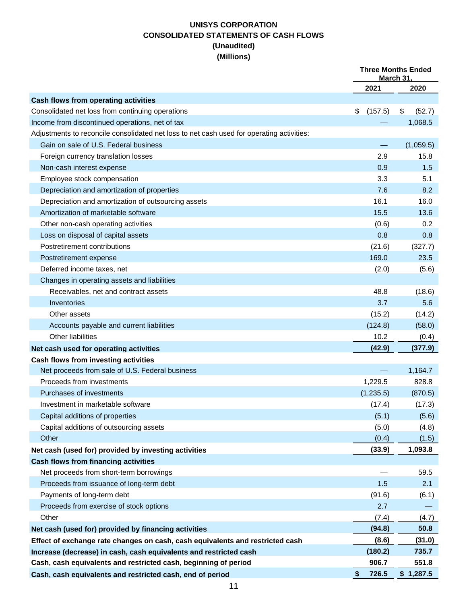# **UNISYS CORPORATION CONSOLIDATED STATEMENTS OF CASH FLOWS (Unaudited) (Millions)**

|                                                                                           | <b>Three Months Ended</b><br>March 31. |              |
|-------------------------------------------------------------------------------------------|----------------------------------------|--------------|
|                                                                                           | 2021                                   | 2020         |
| <b>Cash flows from operating activities</b>                                               |                                        |              |
| Consolidated net loss from continuing operations                                          | \$<br>(157.5)                          | \$<br>(52.7) |
| Income from discontinued operations, net of tax                                           |                                        | 1,068.5      |
| Adjustments to reconcile consolidated net loss to net cash used for operating activities: |                                        |              |
| Gain on sale of U.S. Federal business                                                     |                                        | (1,059.5)    |
| Foreign currency translation losses                                                       | 2.9                                    | 15.8         |
| Non-cash interest expense                                                                 | 0.9                                    | 1.5          |
| Employee stock compensation                                                               | 3.3                                    | 5.1          |
| Depreciation and amortization of properties                                               | 7.6                                    | 8.2          |
| Depreciation and amortization of outsourcing assets                                       | 16.1                                   | 16.0         |
| Amortization of marketable software                                                       | 15.5                                   | 13.6         |
| Other non-cash operating activities                                                       | (0.6)                                  | 0.2          |
| Loss on disposal of capital assets                                                        | 0.8                                    | 0.8          |
| Postretirement contributions                                                              | (21.6)                                 | (327.7)      |
| Postretirement expense                                                                    | 169.0                                  | 23.5         |
| Deferred income taxes, net                                                                | (2.0)                                  | (5.6)        |
| Changes in operating assets and liabilities                                               |                                        |              |
| Receivables, net and contract assets                                                      | 48.8                                   | (18.6)       |
| Inventories                                                                               | 3.7                                    | 5.6          |
| Other assets                                                                              | (15.2)                                 | (14.2)       |
| Accounts payable and current liabilities                                                  | (124.8)                                | (58.0)       |
| Other liabilities                                                                         | 10.2                                   | (0.4)        |
| Net cash used for operating activities                                                    | (42.9)                                 | (377.9)      |
| Cash flows from investing activities                                                      |                                        |              |
| Net proceeds from sale of U.S. Federal business                                           |                                        | 1,164.7      |
| Proceeds from investments                                                                 | 1,229.5                                | 828.8        |
| Purchases of investments                                                                  | (1, 235.5)                             | (870.5)      |
| Investment in marketable software                                                         | (17.4)                                 | (17.3)       |
| Capital additions of properties                                                           | (5.1)                                  | (5.6)        |
| Capital additions of outsourcing assets                                                   | (5.0)                                  | (4.8)        |
| Other                                                                                     | (0.4)                                  | (1.5)        |
| Net cash (used for) provided by investing activities                                      | (33.9)                                 | 1,093.8      |
| <b>Cash flows from financing activities</b>                                               |                                        |              |
| Net proceeds from short-term borrowings                                                   |                                        | 59.5         |
| Proceeds from issuance of long-term debt                                                  | 1.5                                    | 2.1          |
| Payments of long-term debt                                                                | (91.6)                                 | (6.1)        |
| Proceeds from exercise of stock options                                                   | 2.7                                    |              |
| Other                                                                                     | (7.4)                                  | (4.7)        |
| Net cash (used for) provided by financing activities                                      | (94.8)                                 | 50.8         |
| Effect of exchange rate changes on cash, cash equivalents and restricted cash             | (8.6)                                  | (31.0)       |
| Increase (decrease) in cash, cash equivalents and restricted cash                         | (180.2)                                | 735.7        |
| Cash, cash equivalents and restricted cash, beginning of period                           | 906.7                                  | 551.8        |
| Cash, cash equivalents and restricted cash, end of period                                 | \$<br>726.5                            | \$1,287.5    |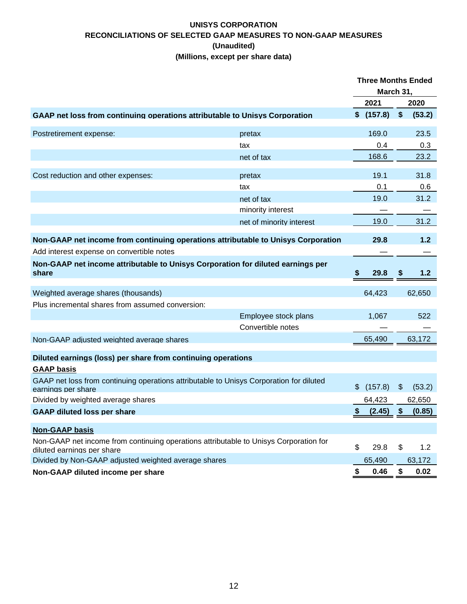## **UNISYS CORPORATION RECONCILIATIONS OF SELECTED GAAP MEASURES TO NON-GAAP MEASURES (Unaudited) (Millions, except per share data)**

|                                                                                                               |                          | <b>Three Months Ended</b> |            |               |        |
|---------------------------------------------------------------------------------------------------------------|--------------------------|---------------------------|------------|---------------|--------|
|                                                                                                               |                          | March 31,                 |            |               |        |
|                                                                                                               |                          |                           | 2021       |               | 2020   |
| GAAP net loss from continuing operations attributable to Unisys Corporation                                   |                          |                           | \$ (157.8) | \$            | (53.2) |
| Postretirement expense:                                                                                       | pretax                   |                           | 169.0      |               | 23.5   |
|                                                                                                               | tax                      |                           | 0.4        |               | 0.3    |
|                                                                                                               | net of tax               |                           | 168.6      |               | 23.2   |
| Cost reduction and other expenses:                                                                            | pretax                   |                           | 19.1       |               | 31.8   |
|                                                                                                               | tax                      |                           | 0.1        |               | 0.6    |
|                                                                                                               | net of tax               |                           | 19.0       |               | 31.2   |
|                                                                                                               | minority interest        |                           |            |               |        |
|                                                                                                               | net of minority interest |                           | 19.0       |               | 31.2   |
| Non-GAAP net income from continuing operations attributable to Unisys Corporation                             |                          |                           | 29.8       |               | $1.2$  |
| Add interest expense on convertible notes                                                                     |                          |                           |            |               |        |
| Non-GAAP net income attributable to Unisys Corporation for diluted earnings per<br>share                      |                          | 5                         | 29.8       | S             | 1.2    |
| Weighted average shares (thousands)                                                                           |                          |                           | 64,423     |               | 62,650 |
| Plus incremental shares from assumed conversion:                                                              |                          |                           |            |               |        |
|                                                                                                               | Employee stock plans     |                           | 1,067      |               | 522    |
|                                                                                                               | Convertible notes        |                           |            |               |        |
| Non-GAAP adjusted weighted average shares                                                                     |                          |                           | 65,490     |               | 63,172 |
| Diluted earnings (loss) per share from continuing operations                                                  |                          |                           |            |               |        |
| <b>GAAP basis</b>                                                                                             |                          |                           |            |               |        |
| GAAP net loss from continuing operations attributable to Unisys Corporation for diluted<br>earnings per share |                          | \$                        | (157.8)    | $\frac{1}{2}$ | (53.2) |
| Divided by weighted average shares                                                                            |                          |                           | 64,423     |               | 62,650 |
| <b>GAAP diluted loss per share</b>                                                                            |                          | \$                        | (2.45)     | \$            | (0.85) |
| <b>Non-GAAP basis</b>                                                                                         |                          |                           |            |               |        |
| Non-GAAP net income from continuing operations attributable to Unisys Corporation for                         |                          |                           |            |               |        |
| diluted earnings per share                                                                                    |                          | \$                        | 29.8       | \$            | 1.2    |
| Divided by Non-GAAP adjusted weighted average shares                                                          |                          |                           | 65,490     |               | 63,172 |
| Non-GAAP diluted income per share                                                                             |                          | \$                        | 0.46       | \$            | 0.02   |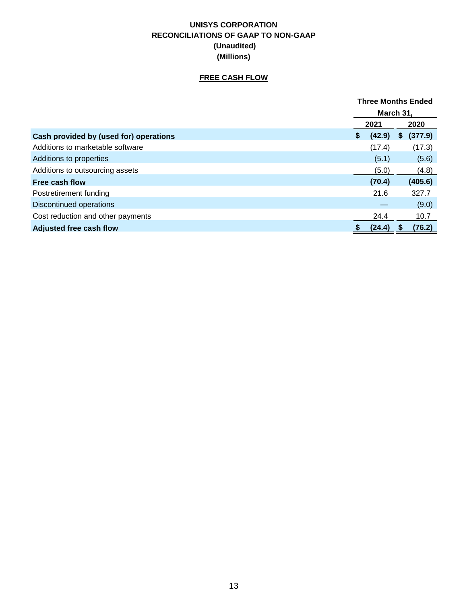# **UNISYS CORPORATION RECONCILIATIONS OF GAAP TO NON-GAAP (Unaudited) (Millions)**

# **FREE CASH FLOW**

|                                        | <b>Three Months Ended</b> |        |    |         |
|----------------------------------------|---------------------------|--------|----|---------|
|                                        | March 31,                 |        |    |         |
|                                        |                           | 2021   |    | 2020    |
| Cash provided by (used for) operations | \$                        | (42.9) | \$ | (377.9) |
| Additions to marketable software       |                           | (17.4) |    | (17.3)  |
| Additions to properties                |                           | (5.1)  |    | (5.6)   |
| Additions to outsourcing assets        |                           | (5.0)  |    | (4.8)   |
| Free cash flow                         |                           | (70.4) |    | (405.6) |
| Postretirement funding                 |                           | 21.6   |    | 327.7   |
| Discontinued operations                |                           |        |    | (9.0)   |
| Cost reduction and other payments      |                           | 24.4   |    | 10.7    |
| <b>Adjusted free cash flow</b>         | \$                        | (24.4) | S  | (76.2)  |